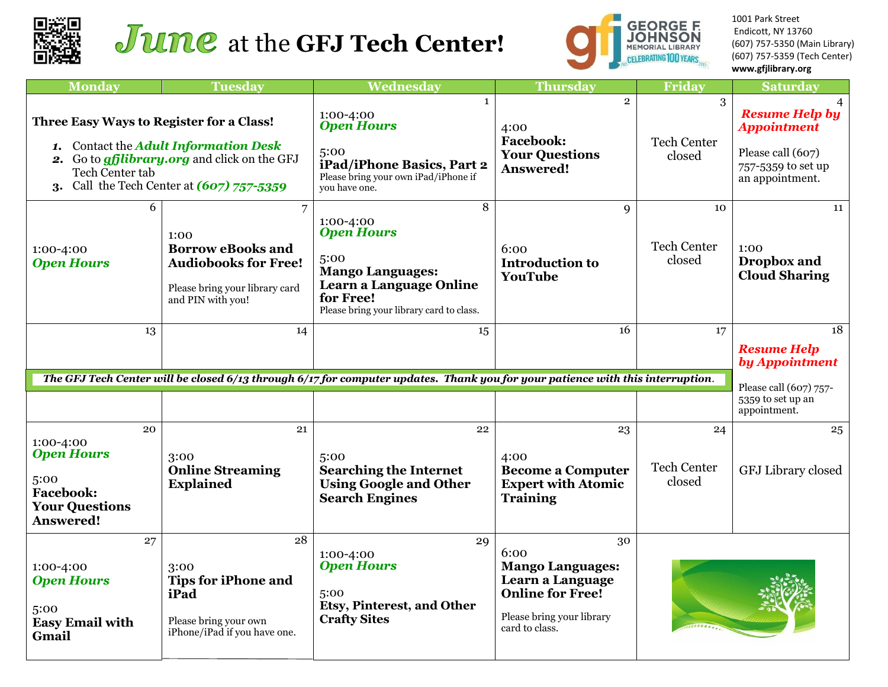



1001 Park Street Endicott, NY 13760 (607) 757-5350 (Main Library) (607) 757-5359 (Tech Center) **www.gfjlibrary.org**

| <b>Monday</b>                                                                                                                                                                                                      | <b>Tuesday</b>                                                                                                                           | Wednesday                                                                                                                                                  | <b>Thursday</b>                                                                                                                     | Friday                             | <b>Saturday</b>                                                                                           |
|--------------------------------------------------------------------------------------------------------------------------------------------------------------------------------------------------------------------|------------------------------------------------------------------------------------------------------------------------------------------|------------------------------------------------------------------------------------------------------------------------------------------------------------|-------------------------------------------------------------------------------------------------------------------------------------|------------------------------------|-----------------------------------------------------------------------------------------------------------|
| Three Easy Ways to Register for a Class!<br>1. Contact the <b>Adult Information Desk</b><br>2. Go to <i>gfjlibrary.org</i> and click on the GFJ<br>Tech Center tab<br>Call the Tech Center at (607) 757-5359<br>3. |                                                                                                                                          | $\mathbf{1}$<br>1:00-4:00<br><b>Open Hours</b><br>5:00<br>iPad/iPhone Basics, Part 2<br>Please bring your own iPad/iPhone if<br>you have one.              | $\overline{2}$<br>4:00<br><b>Facebook:</b><br><b>Your Questions</b><br><b>Answered!</b>                                             | 3<br><b>Tech Center</b><br>closed  | <b>Resume Help by</b><br><b>Appointment</b><br>Please call (607)<br>757-5359 to set up<br>an appointment. |
| 6<br>1:00-4:00<br><b>Open Hours</b>                                                                                                                                                                                | $\overline{7}$<br>1:00<br><b>Borrow eBooks and</b><br><b>Audiobooks for Free!</b><br>Please bring your library card<br>and PIN with you! | 8<br>1:00-4:00<br><b>Open Hours</b><br>5:00<br><b>Mango Languages:</b><br>Learn a Language Online<br>for Free!<br>Please bring your library card to class. | 9<br>6:00<br><b>Introduction to</b><br>YouTube                                                                                      | 10<br><b>Tech Center</b><br>closed | 11<br>1:00<br>Dropbox and<br><b>Cloud Sharing</b>                                                         |
| 13                                                                                                                                                                                                                 | 14                                                                                                                                       | 15                                                                                                                                                         | 16                                                                                                                                  | 17                                 | 18                                                                                                        |
|                                                                                                                                                                                                                    |                                                                                                                                          |                                                                                                                                                            |                                                                                                                                     |                                    | <b>Resume Help</b><br>by Appointment                                                                      |
| The GFJ Tech Center will be closed 6/13 through 6/17 for computer updates. Thank you for your patience with this interruption.                                                                                     |                                                                                                                                          |                                                                                                                                                            |                                                                                                                                     |                                    | Please call (607) 757-                                                                                    |
|                                                                                                                                                                                                                    |                                                                                                                                          |                                                                                                                                                            |                                                                                                                                     |                                    | 5359 to set up an<br>appointment.                                                                         |
| 20<br>1:00-4:00<br><b>Open Hours</b><br>5:00<br><b>Facebook:</b><br><b>Your Questions</b><br><b>Answered!</b>                                                                                                      | 21<br>3:00<br><b>Online Streaming</b><br><b>Explained</b>                                                                                | 22<br>5:00<br><b>Searching the Internet</b><br><b>Using Google and Other</b><br><b>Search Engines</b>                                                      | 23<br>4:00<br><b>Become a Computer</b><br><b>Expert with Atomic</b><br><b>Training</b>                                              | 24<br><b>Tech Center</b><br>closed | 25<br>GFJ Library closed                                                                                  |
| 27<br>1:00-4:00<br><b>Open Hours</b><br>5:00<br><b>Easy Email with</b><br>Gmail                                                                                                                                    | 28<br>3:00<br><b>Tips for iPhone and</b><br>iPad<br>Please bring your own<br>iPhone/iPad if you have one.                                | 29<br>1:00-4:00<br><b>Open Hours</b><br>5:00<br><b>Etsy, Pinterest, and Other</b><br><b>Crafty Sites</b>                                                   | 30<br>6:00<br><b>Mango Languages:</b><br>Learn a Language<br><b>Online for Free!</b><br>Please bring your library<br>card to class. |                                    |                                                                                                           |